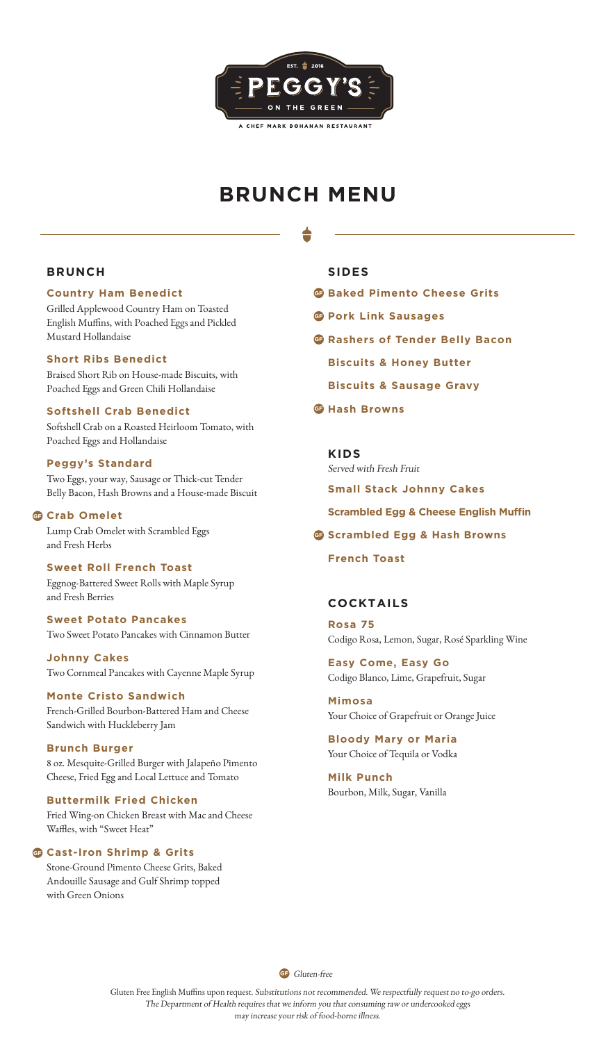

# **BRUNCH MENU**

# **BRUNCH**

# **Country Ham Benedict**

Grilled Applewood Country Ham on Toasted English Muffins, with Poached Eggs and Pickled Mustard Hollandaise

### **Short Ribs Benedict**

Braised Short Rib on House-made Biscuits, with Poached Eggs and Green Chili Hollandaise

# **Softshell Crab Benedict**

Softshell Crab on a Roasted Heirloom Tomato, with Poached Eggs and Hollandaise

### **Peggy's Standard**

Two Eggs, your way, Sausage or Thick-cut Tender Belly Bacon, Hash Browns and a House-made Biscuit

### **G** Crab Omelet

Lump Crab Omelet with Scrambled Eggs and Fresh Herbs

### **Sweet Roll French Toast**

Eggnog-Battered Sweet Rolls with Maple Syrup and Fresh Berries

### **Sweet Potato Pancakes** Two Sweet Potato Pancakes with Cinnamon Butter

**Johnny Cakes** Two Cornmeal Pancakes with Cayenne Maple Syrup

### **Monte Cristo Sandwich** French-Grilled Bourbon-Battered Ham and Cheese Sandwich with Huckleberry Jam

**Brunch Burger** 8 oz. Mesquite-Grilled Burger with Jalapeño Pimento Cheese, Fried Egg and Local Lettuce and Tomato

### **Buttermilk Fried Chicken** Fried Wing-on Chicken Breast with Mac and Cheese Waffles, with "Sweet Heat"

### **G** Cast-Iron Shrimp & Grits

Stone-Ground Pimento Cheese Grits, Baked Andouille Sausage and Gulf Shrimp topped with Green Onions

### **SIDES**

- **G** Baked Pimento Cheese Grits
- **G** Pork Link Sausages
- **G** Rashers of Tender Belly Bacon
	- **Biscuits & Honey Butter**
	- **Biscuits & Sausage Gravy**
- $\mathbf{\Theta}$  Hash Browns

# **KIDS** Served with Fresh Fruit **Small Stack Johnny Cakes Scrambled Egg & Cheese English Muffin**

### **G** Scrambled Egg & Hash Browns

**French Toast**

# **COCKTAILS**

**Rosa 75** Codigo Rosa, Lemon, Sugar, Rosé Sparkling Wine

**Easy Come, Easy Go** Codigo Blanco, Lime, Grapefruit, Sugar

**Mimosa** Your Choice of Grapefruit or Orange Juice

# **Bloody Mary or Maria** Your Choice of Tequila or Vodka

**Milk Punch** Bourbon, Milk, Sugar, Vanilla

**GF** Gluten-free

Gluten Free English Muffins upon request. Substitutions not recommended. We respectfully request no to-go orders. The Department of Health requires that we inform you that consuming raw or undercooked eggs may increase your risk of food-borne illness.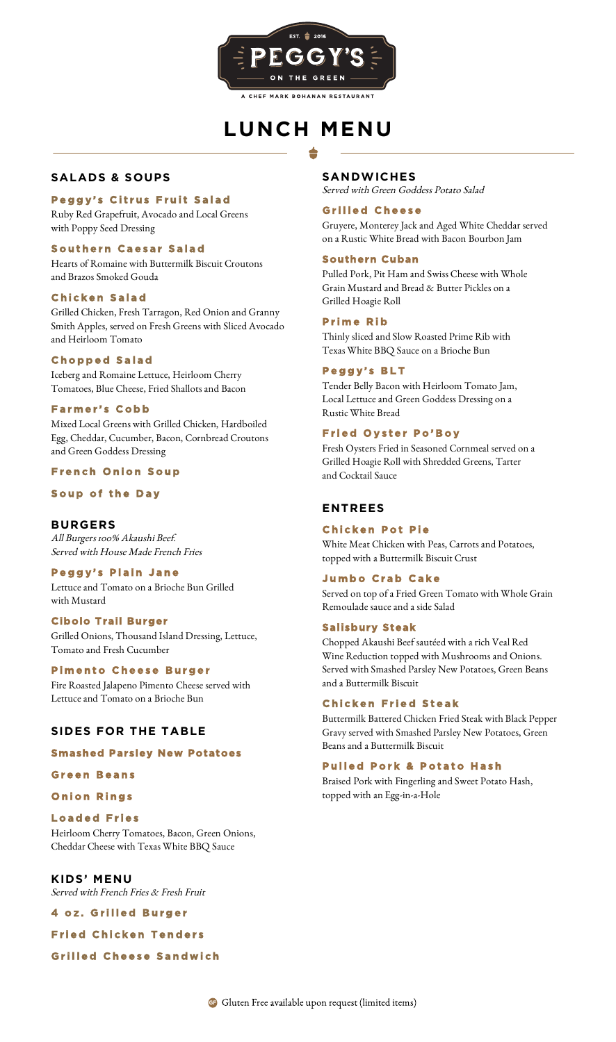

# **LUNCH MENU**

# **SALADS & SOUPS**

### **Peggy's Citrus Fruit Salad**

Ruby Red Grapefruit, Avocado and Local Greens with Poppy Seed Dressing

### **Southern Caesar Salad**

Hearts of Romaine with Buttermilk Biscuit Croutons and Brazos Smoked Gouda

### **Chicken Salad**

Grilled Chicken, Fresh Tarragon, Red Onion and Granny Smith Apples, served on Fresh Greens with Sliced Avocado and Heirloom Tomato

### **Chopped Salad**

Iceberg and Romaine Lettuce, Heirloom Cherry Tomatoes, Blue Cheese, Fried Shallots and Bacon

### **Farmer's Cobb**

Mixed Local Greens with Grilled Chicken, Hardboiled Egg, Cheddar, Cucumber, Bacon, Cornbread Croutons and Green Goddess Dressing

### **French Onion Soup**

### **Soup of the Day**

**BURGERS** All Burgers 100% Akaushi Beef. Served with House Made French Fries

### **Peggy's Plain Jane**

Lettuce and Tomato on a Brioche Bun Grilled with Mustard

### **Cibolo Trail Burger**

Grilled Onions, Thousand Island Dressing, Lettuce, Tomato and Fresh Cucumber

### **Pimento Cheese Burger**

Fire Roasted Jalapeno Pimento Cheese served with Lettuce and Tomato on a Brioche Bun

# **SIDES FOR THE TABLE**

#### **Smashed Parsley New Potatoes**

#### **Green Beans**

- **Onion Rings**
- **Loaded Fries**

Heirloom Cherry Tomatoes, Bacon, Green Onions, Cheddar Cheese with Texas White BBQ Sauce

**KIDS' MENU** Served with French Fries & Fresh Fruit

**4 oz. Grilled Burger** 

**Fried Chicken Tenders** 

### **Grilled Cheese Sandwich**

### **SANDWICHES**

Served with Green Goddess Potato Salad

### **Grilled Cheese**

Gruyere, Monterey Jack and Aged White Cheddar served on a Rustic White Bread with Bacon Bourbon Jam

### **Southern Cuban**

Pulled Pork, Pit Ham and Swiss Cheese with Whole Grain Mustard and Bread & Butter Pickles on a Grilled Hoagie Roll

### **Prime Rib**

Thinly sliced and Slow Roasted Prime Rib with Texas White BBQ Sauce on a Brioche Bun

### **Peggy's BLT**

Tender Belly Bacon with Heirloom Tomato Jam, Local Lettuce and Green Goddess Dressing on a Rustic White Bread

### **Fried Oyster Po'Boy**

Fresh Oysters Fried in Seasoned Cornmeal served on a Grilled Hoagie Roll with Shredded Greens, Tarter and Cocktail Sauce

# **ENTREES**

### **Chicken Pot Pie**

White Meat Chicken with Peas, Carrots and Potatoes, topped with a Buttermilk Biscuit Crust

### **Jumbo Crab Cake**

Served on top of a Fried Green Tomato with Whole Grain Remoulade sauce and a side Salad

# **Salisbury Steak**

Chopped Akaushi Beef sautéed with a rich Veal Red Wine Reduction topped with Mushrooms and Onions. Served with Smashed Parsley New Potatoes, Green Beans and a Buttermilk Biscuit

### **Chicken Fried Steak**

Buttermilk Battered Chicken Fried Steak with Black Pepper Gravy served with Smashed Parsley New Potatoes, Green Beans and a Buttermilk Biscuit

#### **Pulled Pork & Potato Hash**

Braised Pork with Fingerling and Sweet Potato Hash, topped with an Egg-in-a-Hole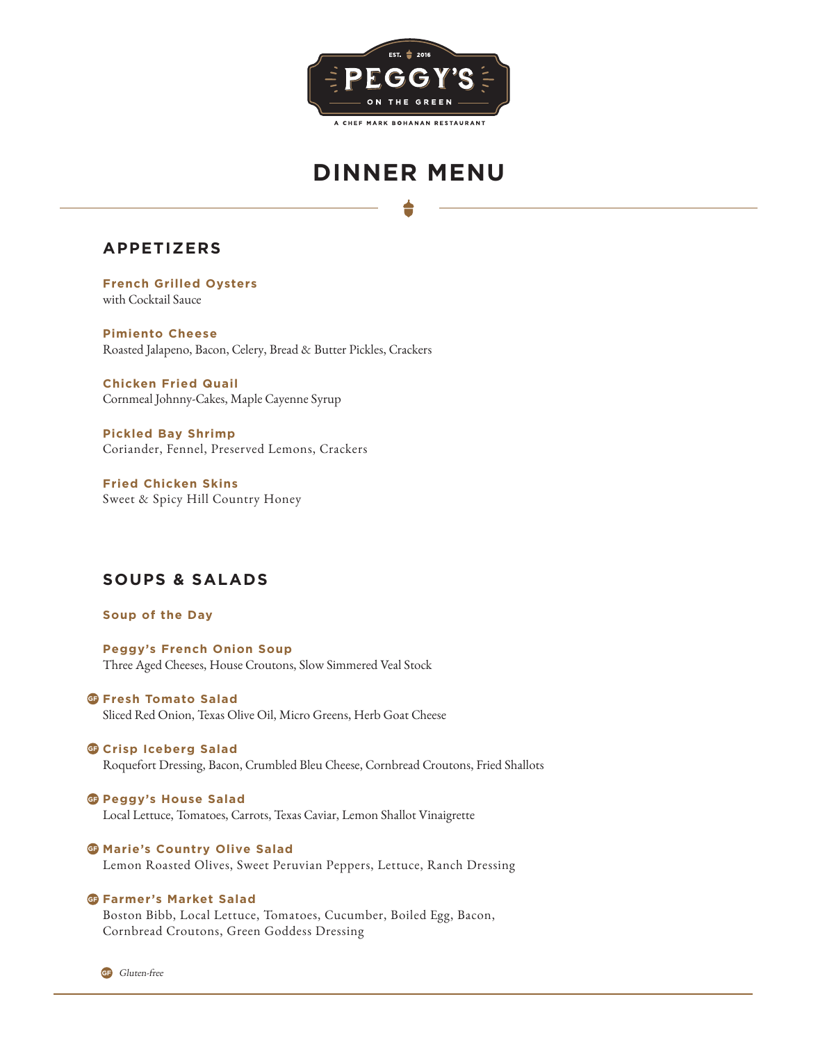

# **DINNER MENU**

**APPETIZERS** 

**French Grilled Oysters** with Cocktail Sauce

**Pimiento Cheese** Roasted Jalapeno, Bacon, Celery, Bread & Butter Pickles, Crackers

**Chicken Fried Quail** Cornmeal Johnny-Cakes, Maple Cayenne Syrup

**Pickled Bay Shrimp** Coriander, Fennel, Preserved Lemons, Crackers

**Fried Chicken Skins** Sweet & Spicy Hill Country Honey

# **SOUPS & SALADS**

**Soup of the Day**

**Peggy's French Onion Soup** Three Aged Cheeses, House Croutons, Slow Simmered Veal Stock

 $\bullet$  Fresh Tomato Salad Sliced Red Onion, Texas Olive Oil, Micro Greens, Herb Goat Cheese

**G** Crisp Iceberg Salad Roquefort Dressing, Bacon, Crumbled Bleu Cheese, Cornbread Croutons, Fried Shallots

**Peggy's House Salad** Local Lettuce, Tomatoes, Carrots, Texas Caviar, Lemon Shallot Vinaigrette

**G** Marie's Country Olive Salad Lemon Roasted Olives, Sweet Peruvian Peppers, Lettuce, Ranch Dressing

### $\bf G$  Farmer's Market Salad

Boston Bibb, Local Lettuce, Tomatoes, Cucumber, Boiled Egg, Bacon, Cornbread Croutons, Green Goddess Dressing

**GF** Gluten-free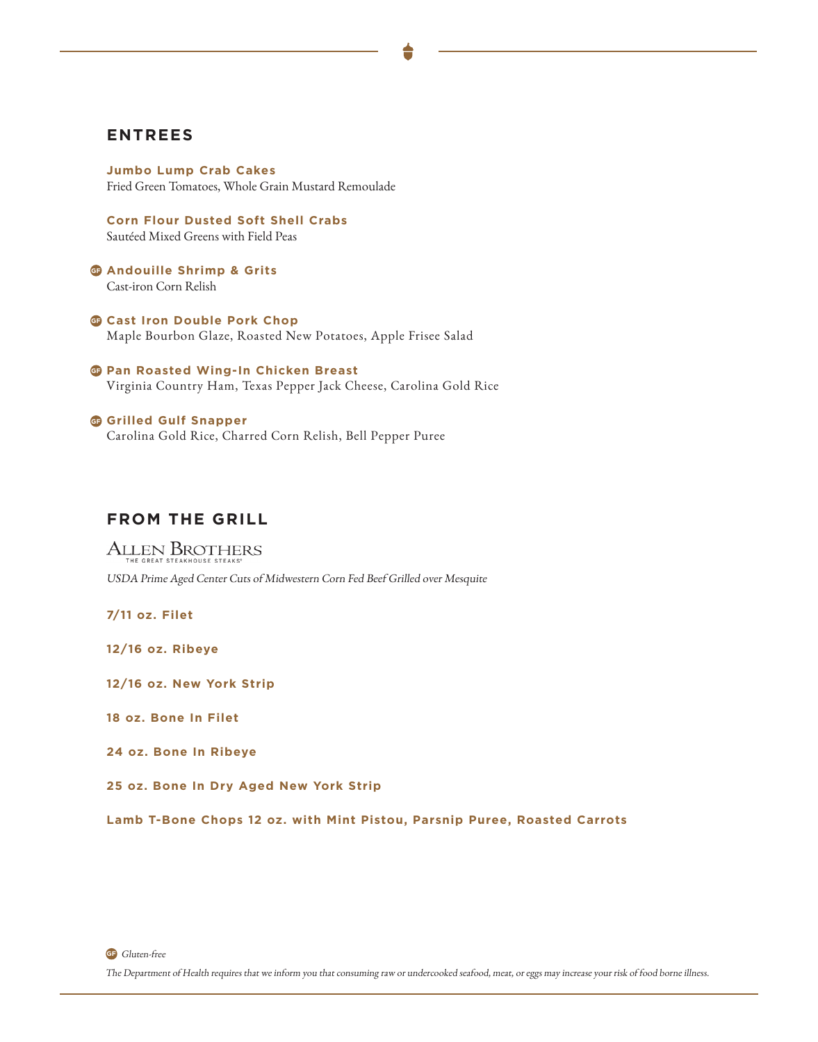# **ENTREES**

**Jumbo Lump Crab Cakes** Fried Green Tomatoes, Whole Grain Mustard Remoulade

**Corn Flour Dusted Soft Shell Crabs** Sautéed Mixed Greens with Field Peas

**a** Andouille Shrimp & Grits Cast-iron Corn Relish

**G** Cast Iron Double Pork Chop Maple Bourbon Glaze, Roasted New Potatoes, Apple Frisee Salad

**G** Pan Roasted Wing-In Chicken Breast Virginia Country Ham, Texas Pepper Jack Cheese, Carolina Gold Rice

**G** Grilled Gulf Snapper Carolina Gold Rice, Charred Corn Relish, Bell Pepper Puree

# **FROM THE GRILL**

**ALLEN BROTHERS** USDA Prime Aged Center Cuts of Midwestern Corn Fed Beef Grilled over Mesquite

**7/11 oz. Filet**

**12/16 oz. Ribeye**

**12/16 oz. New York Strip**

**18 oz. Bone In Filet**

**24 oz. Bone In Ribeye**

**25 oz. Bone In Dry Aged New York Strip**

**Lamb T-Bone Chops 12 oz. with Mint Pistou, Parsnip Puree, Roasted Carrots**

**GF** Gluten-free

The Department of Health requires that we inform you that consuming raw or undercooked seafood, meat, or eggs may increase your risk of food borne illness.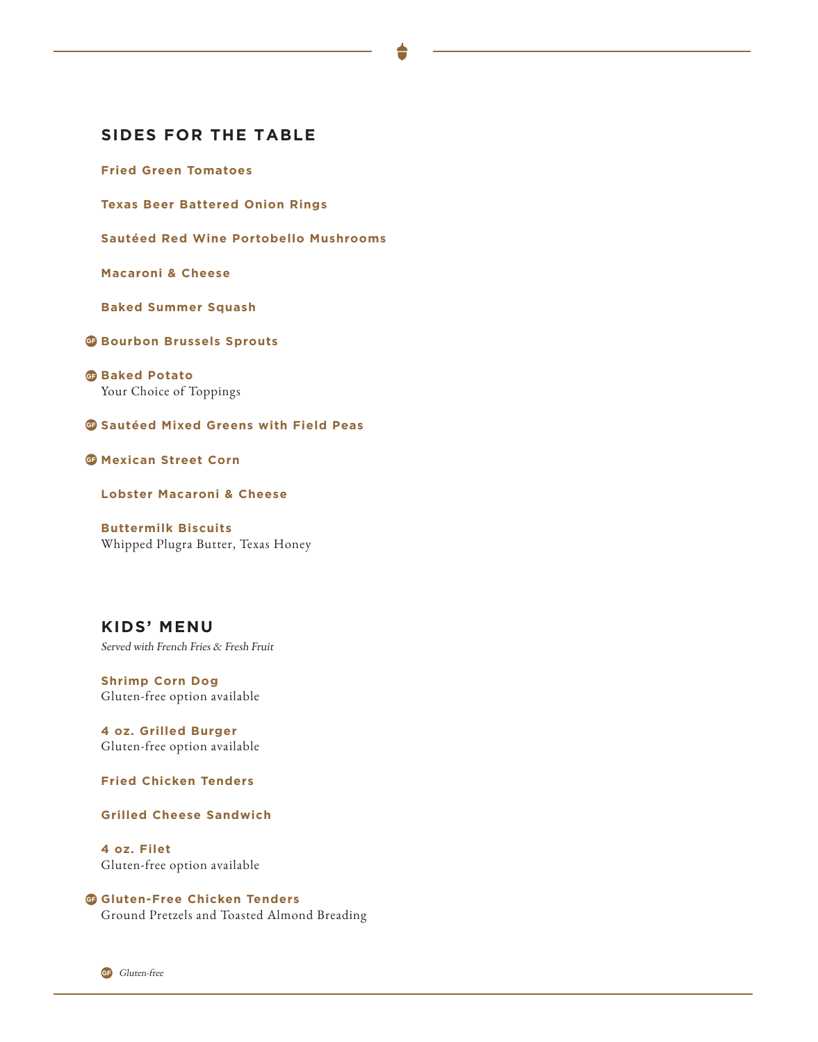# **SIDES FOR THE TABLE**

**Fried Green Tomatoes**

**Texas Beer Battered Onion Rings**

**Sautéed Red Wine Portobello Mushrooms**

**Macaroni & Cheese**

**Baked Summer Squash**

**Bourbon Brussels Sprouts** 

**G**Baked Potato Your Choice of Toppings

**G** Sautéed Mixed Greens with Field Peas

**G** Mexican Street Corn

**Lobster Macaroni & Cheese**

**Buttermilk Biscuits** Whipped Plugra Butter, Texas Honey

**KIDS' MENU** Served with French Fries & Fresh Fruit

**Shrimp Corn Dog** Gluten-free option available

**4 oz. Grilled Burger** Gluten-free option available

**Fried Chicken Tenders**

**Grilled Cheese Sandwich**

**4 oz. Filet** Gluten-free option available

### **G** Gluten-Free Chicken Tenders

Ground Pretzels and Toasted Almond Breading

**GF** Gluten-free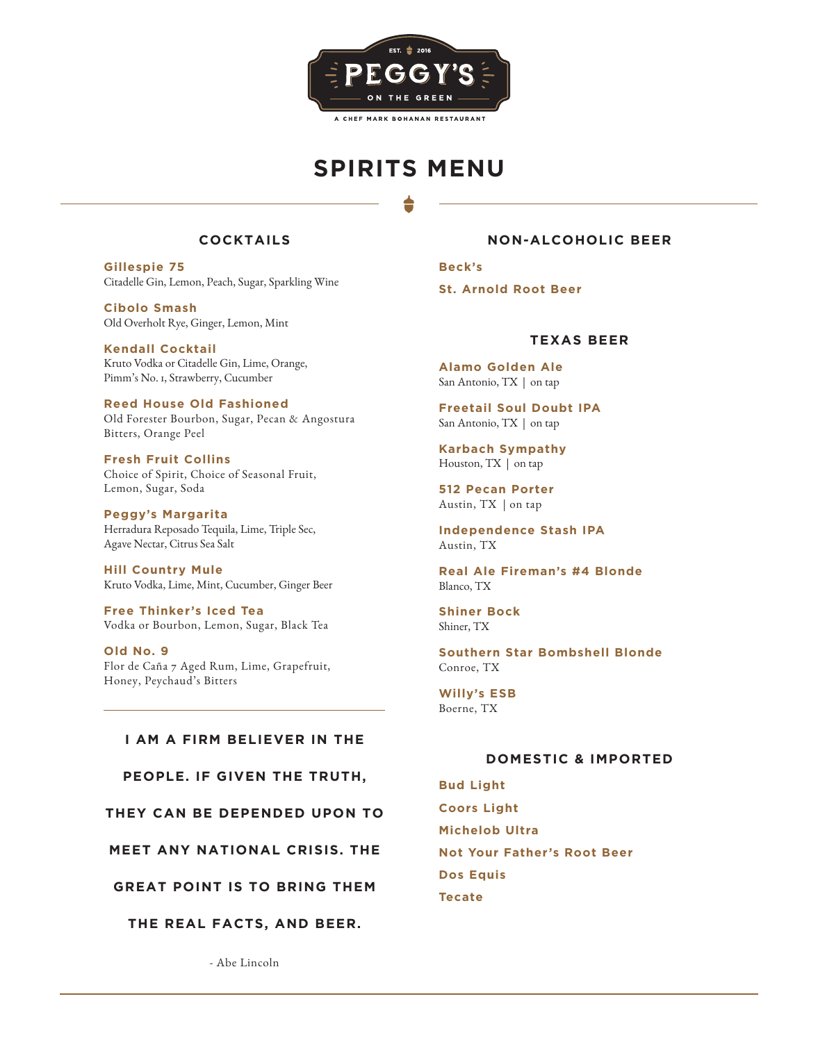

# **SPIRITS MENU**

# **COCKTAILS**

**Gillespie 75** Citadelle Gin, Lemon, Peach, Sugar, Sparkling Wine

**Cibolo Smash** Old Overholt Rye, Ginger, Lemon, Mint

**Kendall Cocktail** Kruto Vodka or Citadelle Gin, Lime, Orange, Pimm's No. 1, Strawberry, Cucumber

**Reed House Old Fashioned** Old Forester Bourbon, Sugar, Pecan & Angostura Bitters, Orange Peel

**Fresh Fruit Collins** Choice of Spirit, Choice of Seasonal Fruit, Lemon, Sugar, Soda

**Peggy's Margarita** Herradura Reposado Tequila, Lime, Triple Sec, Agave Nectar, Citrus Sea Salt

**Hill Country Mule** Kruto Vodka, Lime, Mint, Cucumber, Ginger Beer

**Free Thinker's Iced Tea** Vodka or Bourbon, Lemon, Sugar, Black Tea

**Old No. 9** Flor de Caña 7 Aged Rum, Lime, Grapefruit, Honey, Peychaud's Bitters

### **I AM A FIRM BELIEVER IN THE**

**PEOPLE. IF GIVEN THE TRUTH,** 

**THEY CAN BE DEPENDED UPON TO** 

**MEET ANY NATIONAL CRISIS. THE** 

**GREAT POINT IS TO BRING THEM** 

**THE REAL FACTS, AND BEER.**

# **NON-ALCOHOLIC BEER**

**Beck's**

**St. Arnold Root Beer**

### **TEXAS BEER**

**Alamo Golden Ale** San Antonio, TX | on tap

**Freetail Soul Doubt IPA** San Antonio, TX | on tap

**Karbach Sympathy** Houston, TX | on tap

**512 Pecan Porter** Austin, TX | on tap

**Independence Stash IPA** Austin, TX

**Real Ale Fireman's #4 Blonde** Blanco, TX

**Shiner Bock** Shiner, TX

**Southern Star Bombshell Blonde** Conroe, TX

**Willy's ESB** Boerne, TX

# **DOMESTIC & IMPORTED**

**Bud Light Coors Light Michelob Ultra Not Your Father's Root Beer Dos Equis Tecate**

- Abe Lincoln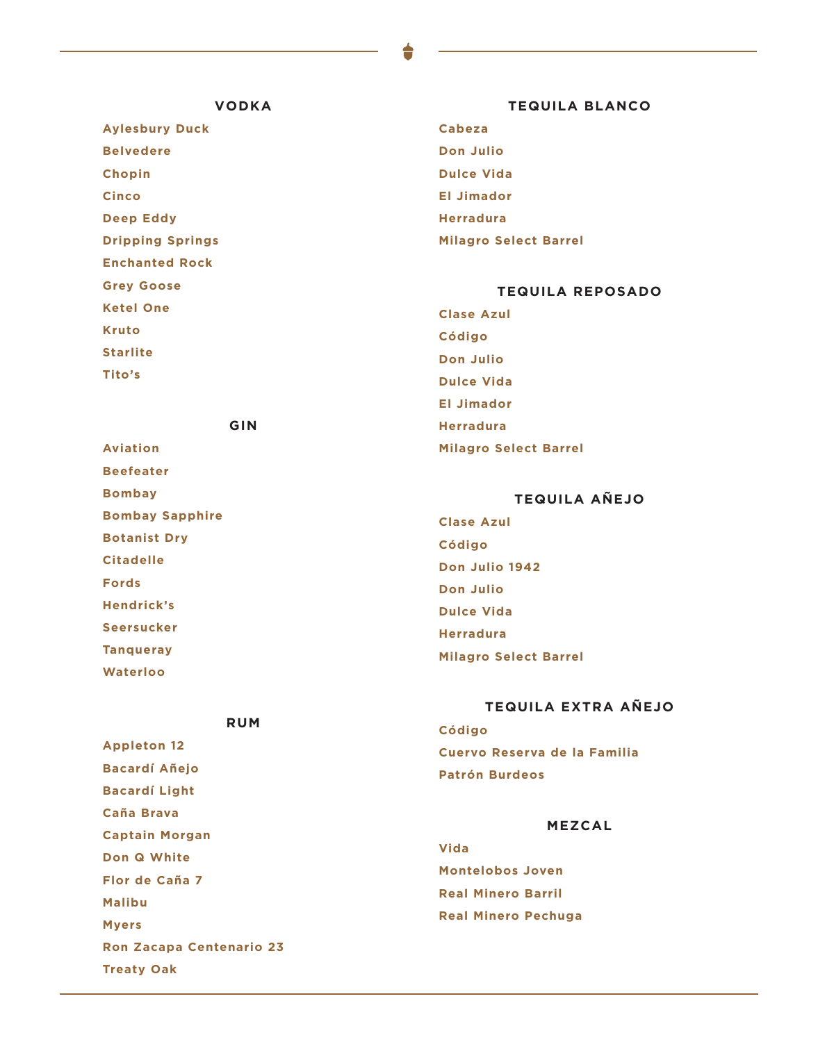### **VODKA**

**Aylesbury Duck Belvedere Chopin Cinco Deep Eddy Dripping Springs Enchanted Rock Grey Goose Ketel One Kruto Starlite Tito's**

**Aviation Beefeater Bombay**

**Fords**

### **TEQUILA BLANCO**

**Cabeza Don Julio Dulce Vida El Jimador Herradura Milagro Select Barrel**

# **TEQUILA REPOSADO**

**Clase Azul Código Don Julio Dulce Vida El Jimador Herradura Milagro Select Barrel**

# **TEQUILA AÑEJO**

**Clase Azul Código Don Julio 1942 Don Julio Dulce Vida Herradura Milagro Select Barrel Bombay Sapphire Botanist Dry Citadelle Hendrick's Seersucker Tanqueray Waterloo**

# **TEQUILA EXTRA AÑEJO**

**Código Cuervo Reserva de la Familia Patrón Burdeos**

### **MEZCAL**

**Vida Montelobos Joven Real Minero Barril Real Minero Pechuga**

**RUM**

**GIN**

**Appleton 12 Bacardí Añejo Bacardí Light Caña Brava Captain Morgan Don Q White Flor de Caña 7 Malibu Myers Ron Zacapa Centenario 23 Treaty Oak**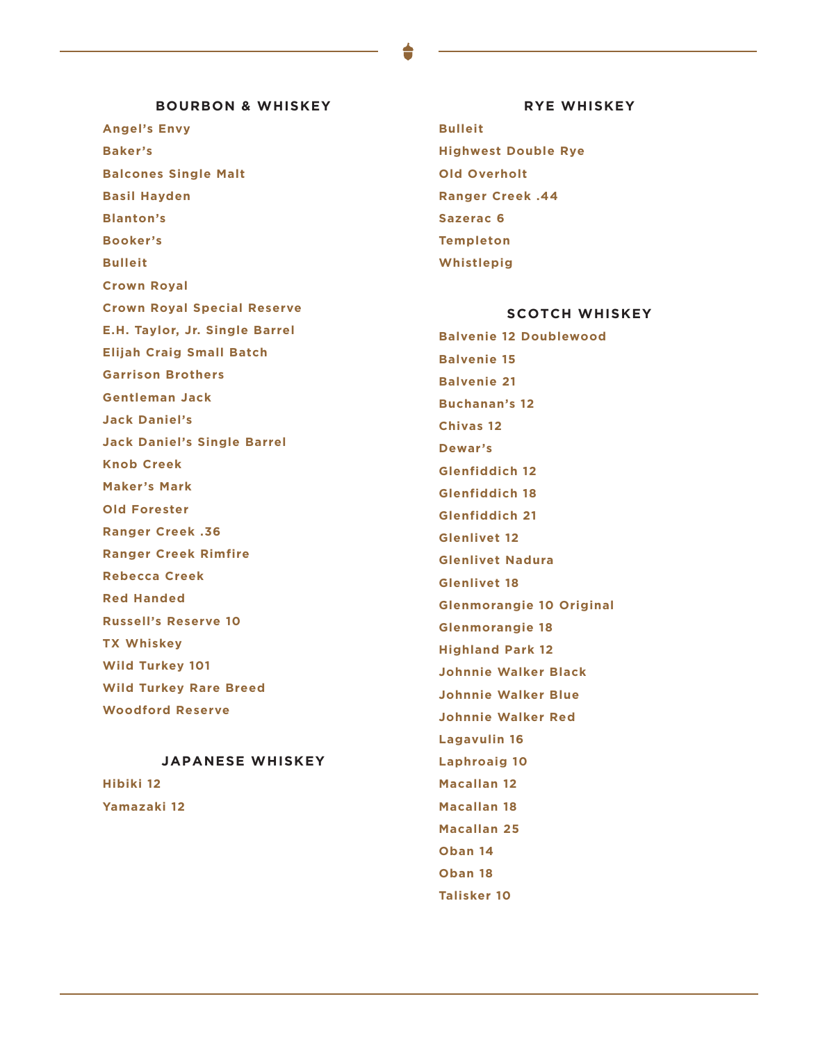# **BOURBON & WHISKEY**

**Angel's Envy Baker's Balcones Single Malt Basil Hayden Blanton's Booker's Bulleit Crown Royal Crown Royal Special Reserve E.H. Taylor, Jr. Single Barrel Elijah Craig Small Batch Garrison Brothers Gentleman Jack Jack Daniel's Jack Daniel's Single Barrel Knob Creek Maker's Mark Old Forester**

**Ranger Creek .36 Ranger Creek Rimfire Rebecca Creek Red Handed Russell's Reserve 10 TX Whiskey Wild Turkey 101**

**Wild Turkey Rare Breed**

**Woodford Reserve**

# **JAPANESE WHISKEY**

**Hibiki 12 Yamazaki 12**

### **RYE WHISKEY**

**Bulleit Highwest Double Rye Old Overholt Ranger Creek .44 Sazerac 6 Templeton Whistlepig**

### **SCOTCH WHISKEY**

**Balvenie 12 Doublewood Balvenie 15 Balvenie 21 Buchanan's 12 Chivas 12 Dewar's Glenfiddich 12 Glenfiddich 18 Glenfiddich 21 Glenlivet 12 Glenlivet Nadura Glenlivet 18 Glenmorangie 10 Original Glenmorangie 18 Highland Park 12 Johnnie Walker Black Johnnie Walker Blue Johnnie Walker Red Lagavulin 16 Laphroaig 10 Macallan 12 Macallan 18 Macallan 25 Oban 14 Oban 18 Talisker 10**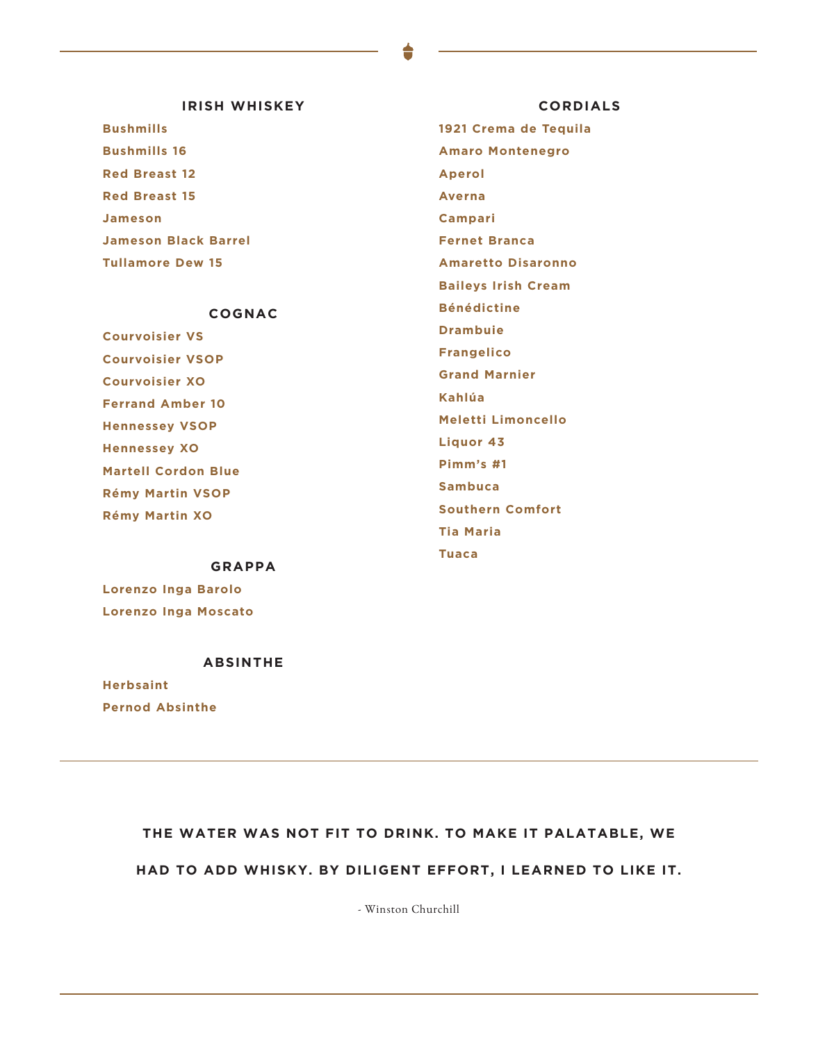# **IRISH WHISKEY**

**Bushmills Bushmills 16 Red Breast 12 Red Breast 15 Jameson Jameson Black Barrel Tullamore Dew 15**

# **COGNAC**

**Courvoisier VS Courvoisier VSOP Courvoisier XO Ferrand Amber 10 Hennessey VSOP Hennessey XO Martell Cordon Blue Rémy Martin VSOP Rémy Martin XO**

### **GRAPPA**

**Lorenzo Inga Barolo Lorenzo Inga Moscato**

### **ABSINTHE**

**Herbsaint Pernod Absinthe**

**CORDIALS 1921 Crema de Tequila Amaro Montenegro Aperol Averna Campari Fernet Branca Amaretto Disaronno Baileys Irish Cream Bénédictine**

**Drambuie**

**Frangelico**

**Grand Marnier**

**Kahlúa**

**Meletti Limoncello**

**Liquor 43**

**Pimm's #1**

**Sambuca**

**Southern Comfort**

**Tia Maria**

**Tuaca**

# **THE WATER WAS NOT FIT TO DRINK. TO MAKE IT PALATABLE, WE**

# **HAD TO ADD WHISKY. BY DILIGENT EFFORT, I LEARNED TO LIKE IT.**

- Winston Churchill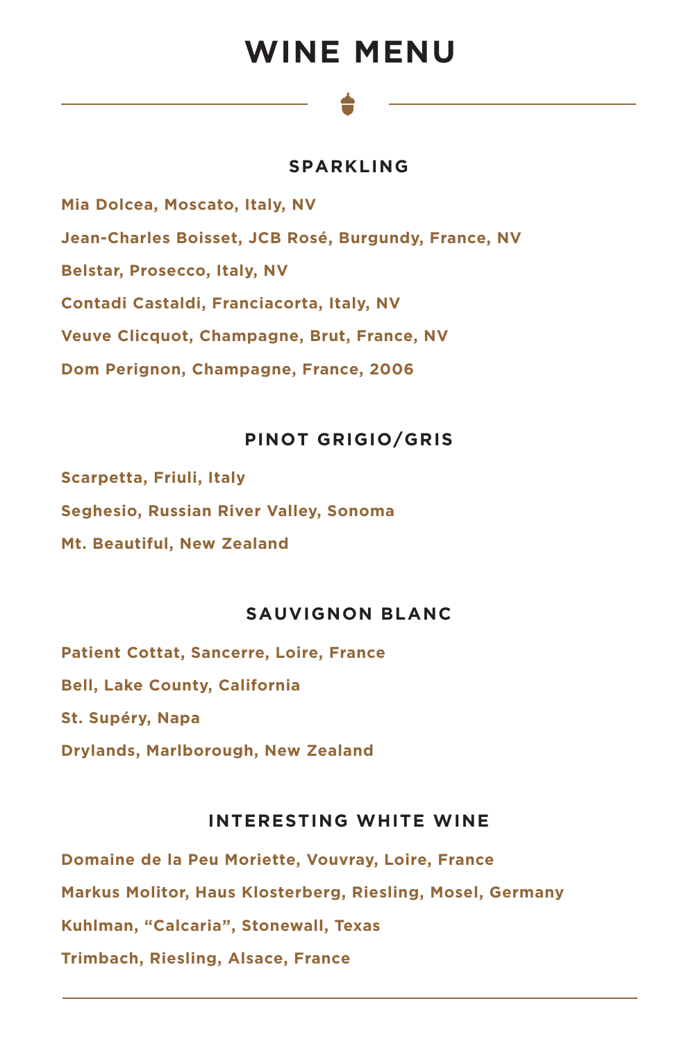# **WINE MENU**

### **SPARKLING**

**Mia Dolcea, Moscato, Italy, NV Jean-Charles Boisset, JCB Rosé, Burgundy, France, NV Belstar, Prosecco, Italy, NV Contadi Castaldi, Franciacorta, Italy, NV Veuve Clicquot, Champagne, Brut, France, NV Dom Perignon, Champagne, France, 2006**

# **PINOT GRIGIO/GRIS**

**Scarpetta, Friuli, Italy Seghesio, Russian River Valley, Sonoma Mt. Beautiful, New Zealand**

### **SAUVIGNON BLANC**

**Patient Cottat, Sancerre, Loire, France Bell, Lake County, California St. Supéry, Napa Drylands, Marlborough, New Zealand**

### **INTERESTING WHITE WINE**

**Domaine de la Peu Moriette, Vouvray, Loire, France Markus Molitor, Haus Klosterberg, Riesling, Mosel, Germany Kuhlman, "Calcaria", Stonewall, Texas Trimbach, Riesling, Alsace, France**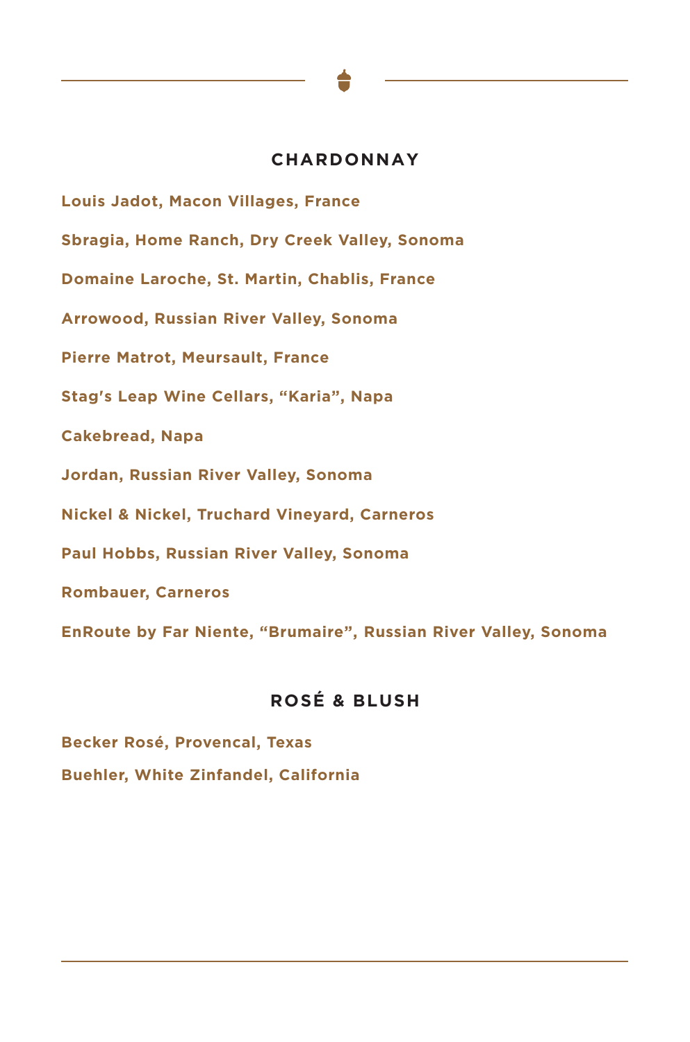### **CHARDONNAY**

**Louis Jadot, Macon Villages, France Sbragia, Home Ranch, Dry Creek Valley, Sonoma Domaine Laroche, St. Martin, Chablis, France Arrowood, Russian River Valley, Sonoma Pierre Matrot, Meursault, France Stag's Leap Wine Cellars, "Karia", Napa Cakebread, Napa Jordan, Russian River Valley, Sonoma Nickel & Nickel, Truchard Vineyard, Carneros Paul Hobbs, Russian River Valley, Sonoma Rombauer, Carneros EnRoute by Far Niente, "Brumaire", Russian River Valley, Sonoma**

# **ROSÉ & BLUSH**

**Becker Rosé, Provencal, Texas Buehler, White Zinfandel, California**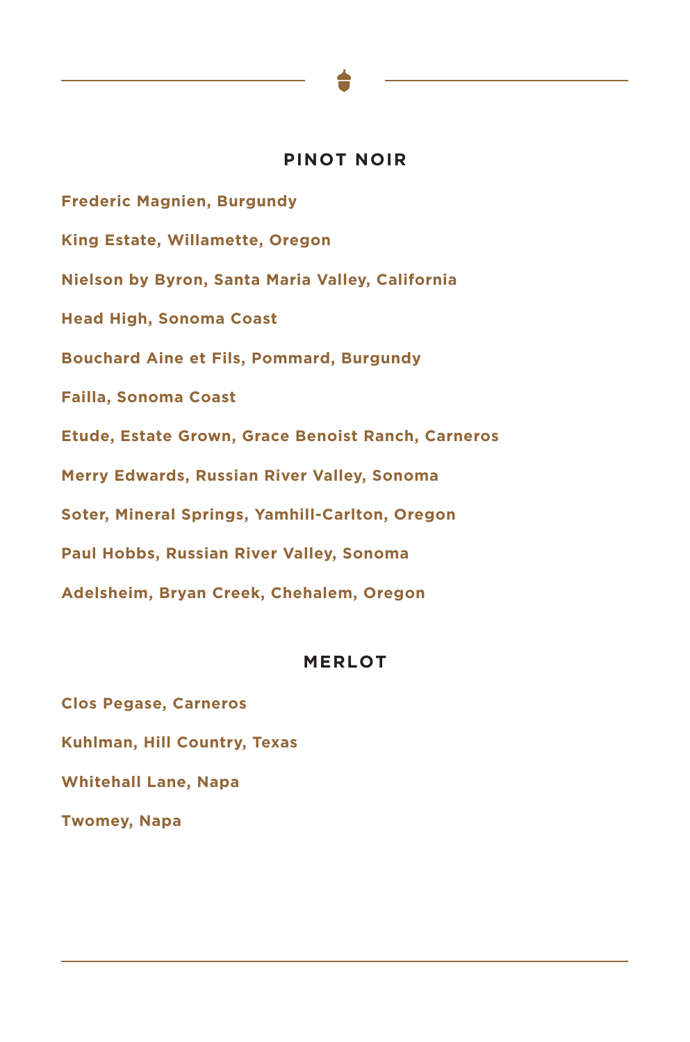### **PINOT NOIR**

**Frederic Magnien, Burgundy King Estate, Willamette, Oregon Nielson by Byron, Santa Maria Valley, California Head High, Sonoma Coast Bouchard Aine et Fils, Pommard, Burgundy Failla, Sonoma Coast Etude, Estate Grown, Grace Benoist Ranch, Carneros Merry Edwards, Russian River Valley, Sonoma Soter, Mineral Springs, Yamhill-Carlton, Oregon Paul Hobbs, Russian River Valley, Sonoma Adelsheim, Bryan Creek, Chehalem, Oregon**

### **MERLOT**

**Clos Pegase, Carneros Kuhlman, Hill Country, Texas Whitehall Lane, Napa Twomey, Napa**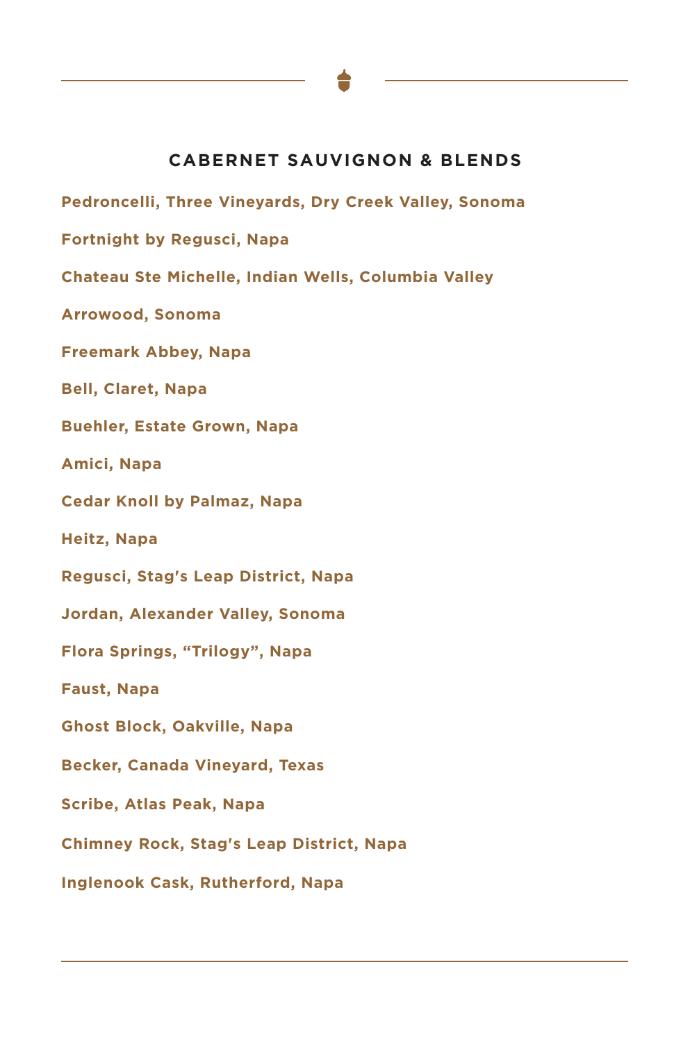# **CABERNET SAUVIGNON & BLENDS**

**Pedroncelli, Three Vineyards, Dry Creek Valley, Sonoma**

**Fortnight by Regusci, Napa**

**Chateau Ste Michelle, Indian Wells, Columbia Valley**

**Arrowood, Sonoma**

**Freemark Abbey, Napa**

**Bell, Claret, Napa**

**Buehler, Estate Grown, Napa**

**Amici, Napa**

**Cedar Knoll by Palmaz, Napa**

**Heitz, Napa**

**Regusci, Stag's Leap District, Napa**

**Jordan, Alexander Valley, Sonoma**

**Flora Springs, "Trilogy", Napa**

**Faust, Napa**

**Ghost Block, Oakville, Napa**

**Becker, Canada Vineyard, Texas**

**Scribe, Atlas Peak, Napa**

**Chimney Rock, Stag's Leap District, Napa**

**Inglenook Cask, Rutherford, Napa**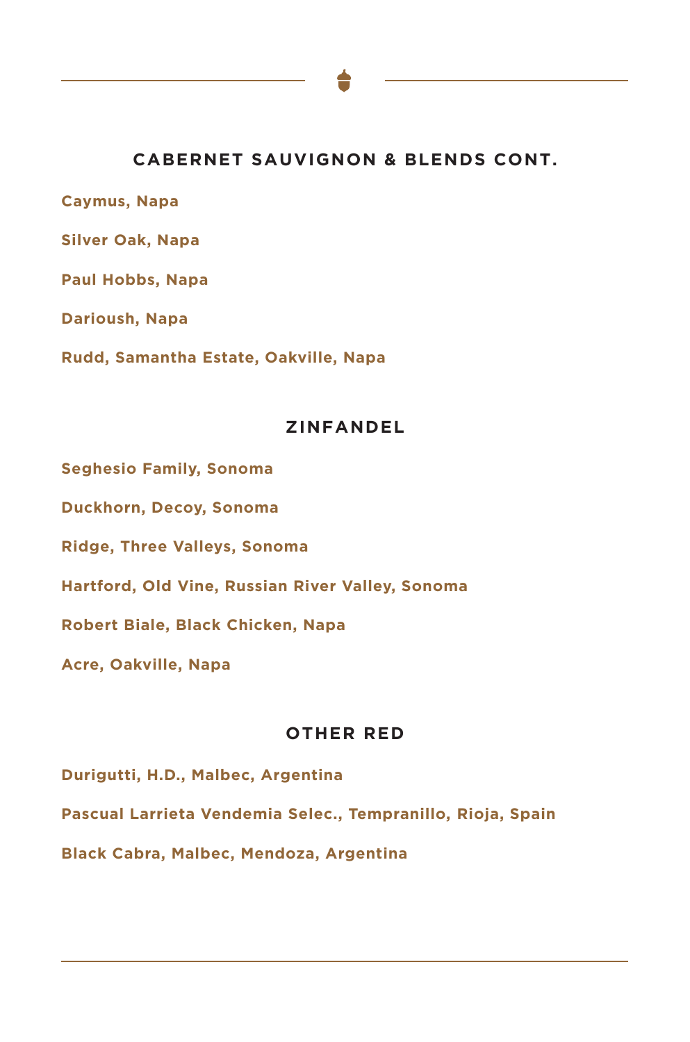# **CABERNET SAUVIGNON & BLENDS CONT.**

**Caymus, Napa**

**Silver Oak, Napa**

**Paul Hobbs, Napa**

**Darioush, Napa**

**Rudd, Samantha Estate, Oakville, Napa**

### **ZINFANDEL**

**Seghesio Family, Sonoma**

**Duckhorn, Decoy, Sonoma**

**Ridge, Three Valleys, Sonoma**

**Hartford, Old Vine, Russian River Valley, Sonoma**

**Robert Biale, Black Chicken, Napa**

**Acre, Oakville, Napa**

### **OTHER RED**

**Durigutti, H.D., Malbec, Argentina**

**Pascual Larrieta Vendemia Selec., Tempranillo, Rioja, Spain**

**Black Cabra, Malbec, Mendoza, Argentina**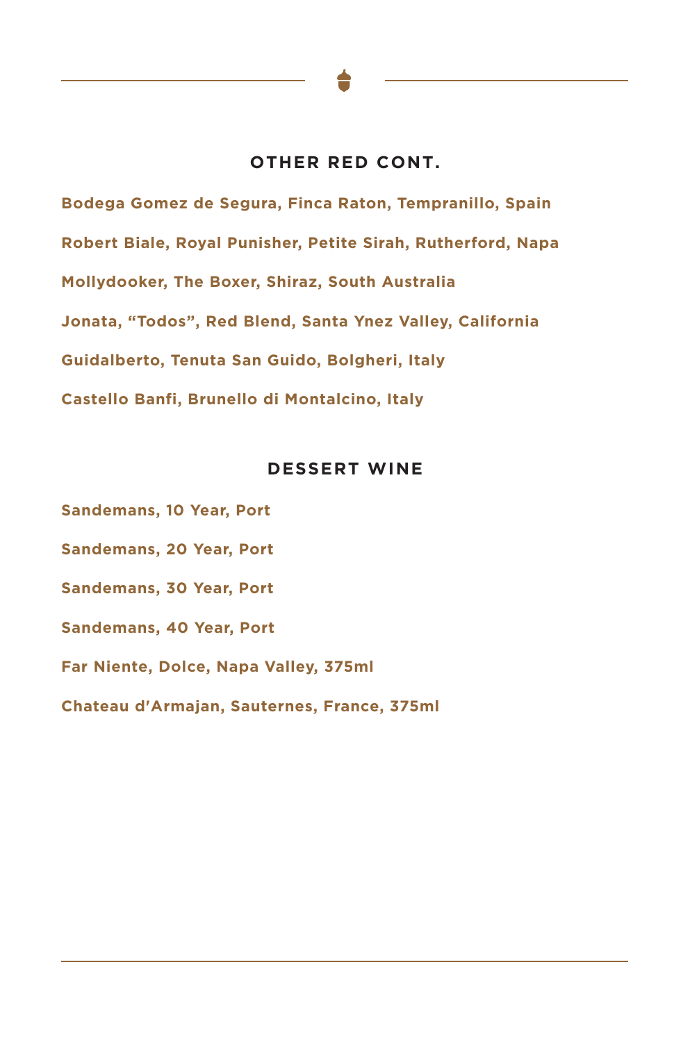### **OTHER RED CONT.**

**Bodega Gomez de Segura, Finca Raton, Tempranillo, Spain Robert Biale, Royal Punisher, Petite Sirah, Rutherford, Napa Mollydooker, The Boxer, Shiraz, South Australia Jonata, "Todos", Red Blend, Santa Ynez Valley, California Guidalberto, Tenuta San Guido, Bolgheri, Italy Castello Banfi, Brunello di Montalcino, Italy**

### **DESSERT WINE**

**Sandemans, 10 Year, Port Sandemans, 20 Year, Port Sandemans, 30 Year, Port Sandemans, 40 Year, Port Far Niente, Dolce, Napa Valley, 375ml Chateau d'Armajan, Sauternes, France, 375ml**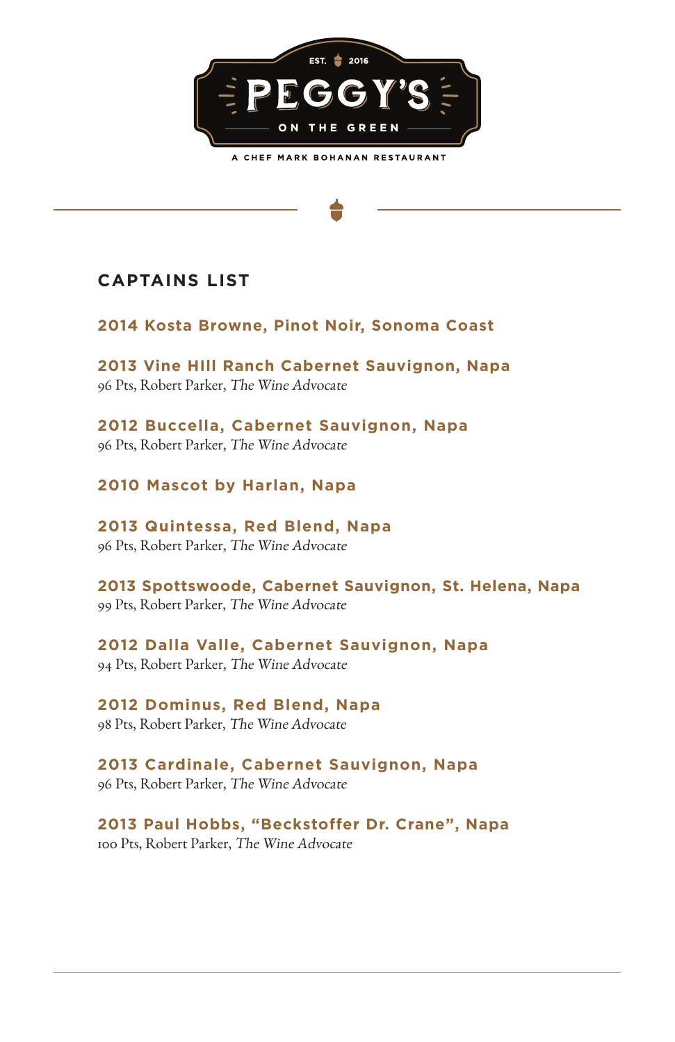

# **CAPTAINS LIST**

**2014 Kosta Browne, Pinot Noir, Sonoma Coast**

**2013 Vine HIll Ranch Cabernet Sauvignon, Napa** 96 Pts, Robert Parker, The Wine Advocate

**2012 Buccella, Cabernet Sauvignon, Napa** 96 Pts, Robert Parker, The Wine Advocate

**2010 Mascot by Harlan, Napa**

**2013 Quintessa, Red Blend, Napa** 96 Pts, Robert Parker, The Wine Advocate

**2013 Spottswoode, Cabernet Sauvignon, St. Helena, Napa** 99 Pts, Robert Parker, The Wine Advocate

**2012 Dalla Valle, Cabernet Sauvignon, Napa** 94 Pts, Robert Parker, The Wine Advocate

**2012 Dominus, Red Blend, Napa** 98 Pts, Robert Parker, The Wine Advocate

**2013 Cardinale, Cabernet Sauvignon, Napa** 96 Pts, Robert Parker, The Wine Advocate

**2013 Paul Hobbs, "Beckstoffer Dr. Crane", Napa** 100 Pts, Robert Parker, The Wine Advocate